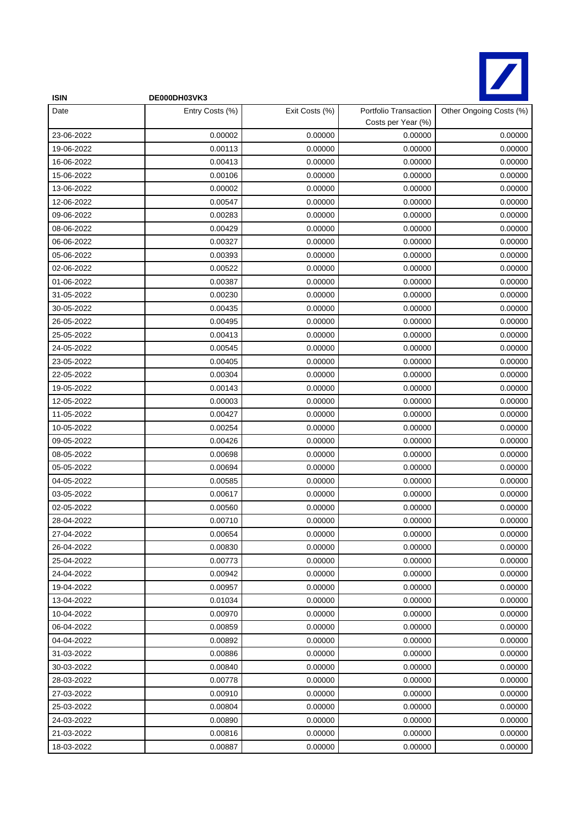

| <b>ISIN</b> | DE000DH03VK3    |                |                                             |                         |
|-------------|-----------------|----------------|---------------------------------------------|-------------------------|
| Date        | Entry Costs (%) | Exit Costs (%) | Portfolio Transaction<br>Costs per Year (%) | Other Ongoing Costs (%) |
| 23-06-2022  | 0.00002         | 0.00000        | 0.00000                                     | 0.00000                 |
| 19-06-2022  | 0.00113         | 0.00000        | 0.00000                                     | 0.00000                 |
| 16-06-2022  | 0.00413         | 0.00000        | 0.00000                                     | 0.00000                 |
| 15-06-2022  | 0.00106         | 0.00000        | 0.00000                                     | 0.00000                 |
| 13-06-2022  | 0.00002         | 0.00000        | 0.00000                                     | 0.00000                 |
| 12-06-2022  | 0.00547         | 0.00000        | 0.00000                                     | 0.00000                 |
| 09-06-2022  | 0.00283         | 0.00000        | 0.00000                                     | 0.00000                 |
| 08-06-2022  | 0.00429         | 0.00000        | 0.00000                                     | 0.00000                 |
| 06-06-2022  | 0.00327         | 0.00000        | 0.00000                                     | 0.00000                 |
| 05-06-2022  | 0.00393         | 0.00000        | 0.00000                                     | 0.00000                 |
| 02-06-2022  | 0.00522         | 0.00000        | 0.00000                                     | 0.00000                 |
| 01-06-2022  | 0.00387         | 0.00000        | 0.00000                                     | 0.00000                 |
| 31-05-2022  | 0.00230         | 0.00000        | 0.00000                                     | 0.00000                 |
| 30-05-2022  | 0.00435         | 0.00000        | 0.00000                                     | 0.00000                 |
| 26-05-2022  | 0.00495         | 0.00000        | 0.00000                                     | 0.00000                 |
| 25-05-2022  | 0.00413         | 0.00000        | 0.00000                                     | 0.00000                 |
| 24-05-2022  | 0.00545         | 0.00000        | 0.00000                                     | 0.00000                 |
| 23-05-2022  | 0.00405         | 0.00000        | 0.00000                                     | 0.00000                 |
| 22-05-2022  | 0.00304         | 0.00000        | 0.00000                                     | 0.00000                 |
| 19-05-2022  | 0.00143         | 0.00000        | 0.00000                                     | 0.00000                 |
| 12-05-2022  | 0.00003         | 0.00000        | 0.00000                                     | 0.00000                 |
| 11-05-2022  | 0.00427         | 0.00000        | 0.00000                                     | 0.00000                 |
| 10-05-2022  | 0.00254         | 0.00000        | 0.00000                                     | 0.00000                 |
| 09-05-2022  | 0.00426         | 0.00000        | 0.00000                                     | 0.00000                 |
| 08-05-2022  | 0.00698         | 0.00000        | 0.00000                                     | 0.00000                 |
| 05-05-2022  | 0.00694         | 0.00000        | 0.00000                                     | 0.00000                 |
| 04-05-2022  | 0.00585         | 0.00000        | 0.00000                                     | 0.00000                 |
| 03-05-2022  | 0.00617         | 0.00000        | 0.00000                                     | 0.00000                 |
| 02-05-2022  | 0.00560         | 0.00000        | 0.00000                                     | 0.00000                 |
| 28-04-2022  | 0.00710         | 0.00000        | 0.00000                                     | 0.00000                 |
| 27-04-2022  | 0.00654         | 0.00000        | 0.00000                                     | 0.00000                 |
| 26-04-2022  | 0.00830         | 0.00000        | 0.00000                                     | 0.00000                 |
| 25-04-2022  | 0.00773         | 0.00000        | 0.00000                                     | 0.00000                 |
| 24-04-2022  | 0.00942         | 0.00000        | 0.00000                                     | 0.00000                 |
| 19-04-2022  | 0.00957         | 0.00000        | 0.00000                                     | 0.00000                 |
| 13-04-2022  | 0.01034         | 0.00000        | 0.00000                                     | 0.00000                 |
| 10-04-2022  | 0.00970         | 0.00000        | 0.00000                                     | 0.00000                 |
| 06-04-2022  | 0.00859         | 0.00000        | 0.00000                                     | 0.00000                 |
| 04-04-2022  | 0.00892         | 0.00000        | 0.00000                                     | 0.00000                 |
| 31-03-2022  | 0.00886         | 0.00000        | 0.00000                                     | 0.00000                 |
| 30-03-2022  | 0.00840         | 0.00000        | 0.00000                                     | 0.00000                 |
| 28-03-2022  | 0.00778         | 0.00000        | 0.00000                                     | 0.00000                 |
| 27-03-2022  | 0.00910         | 0.00000        | 0.00000                                     | 0.00000                 |
| 25-03-2022  | 0.00804         | 0.00000        | 0.00000                                     | 0.00000                 |
| 24-03-2022  | 0.00890         | 0.00000        | 0.00000                                     | 0.00000                 |
| 21-03-2022  | 0.00816         | 0.00000        | 0.00000                                     | 0.00000                 |
| 18-03-2022  | 0.00887         | 0.00000        | 0.00000                                     | 0.00000                 |